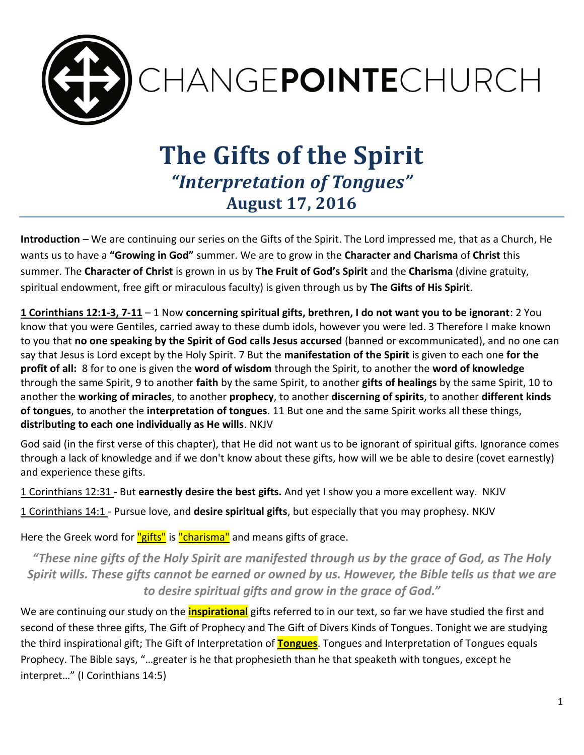

# **The Gifts of the Spirit** *"Interpretation of Tongues"* **August 17, 2016**

**Introduction** – We are continuing our series on the Gifts of the Spirit. The Lord impressed me, that as a Church, He wants us to have a **"Growing in God"** summer. We are to grow in the **Character and Charisma** of **Christ** this summer. The **Character of Christ** is grown in us by **The Fruit of God's Spirit** and the **Charisma** (divine gratuity, spiritual endowment, free gift or miraculous faculty) is given through us by **The Gifts of His Spirit**.

**1 Corinthians 12:1-3, 7-11** – 1 Now **concerning spiritual gifts, brethren, I do not want you to be ignorant**: 2 You know that you were Gentiles, carried away to these dumb idols, however you were led. 3 Therefore I make known to you that **no one speaking by the Spirit of God calls Jesus accursed** (banned or excommunicated), and no one can say that Jesus is Lord except by the Holy Spirit. 7 But the **manifestation of the Spirit** is given to each one **for the profit of all:** 8 for to one is given the **word of wisdom** through the Spirit, to another the **word of knowledge** through the same Spirit, 9 to another **faith** by the same Spirit, to another **gifts of healings** by the same Spirit, 10 to another the **working of miracles**, to another **prophecy**, to another **discerning of spirits**, to another **different kinds of tongues**, to another the **interpretation of tongues**. 11 But one and the same Spirit works all these things, **distributing to each one individually as He wills**. NKJV

God said (in the first verse of this chapter), that He did not want us to be ignorant of spiritual gifts. Ignorance comes through a lack of knowledge and if we don't know about these gifts, how will we be able to desire (covet earnestly) and experience these gifts.

1 Corinthians 12:31 **-** But **earnestly desire the best gifts.** And yet I show you a more excellent way. NKJV

1 Corinthians 14:1 - Pursue love, and **desire spiritual gifts**, but especially that you may prophesy. NKJV

Here the Greek word for "gifts" is "charisma" and means gifts of grace.

*"These nine gifts of the Holy Spirit are manifested through us by the grace of God, as The Holy Spirit wills. These gifts cannot be earned or owned by us. However, the Bible tells us that we are to desire spiritual gifts and grow in the grace of God."*

We are continuing our study on the **inspirational** gifts referred to in our text, so far we have studied the first and second of these three gifts, The Gift of Prophecy and The Gift of Divers Kinds of Tongues. Tonight we are studying the third inspirational gift; The Gift of Interpretation of **Tongues**. Tongues and Interpretation of Tongues equals Prophecy. The Bible says, "…greater is he that prophesieth than he that speaketh with tongues, except he interpret…" (I Corinthians 14:5)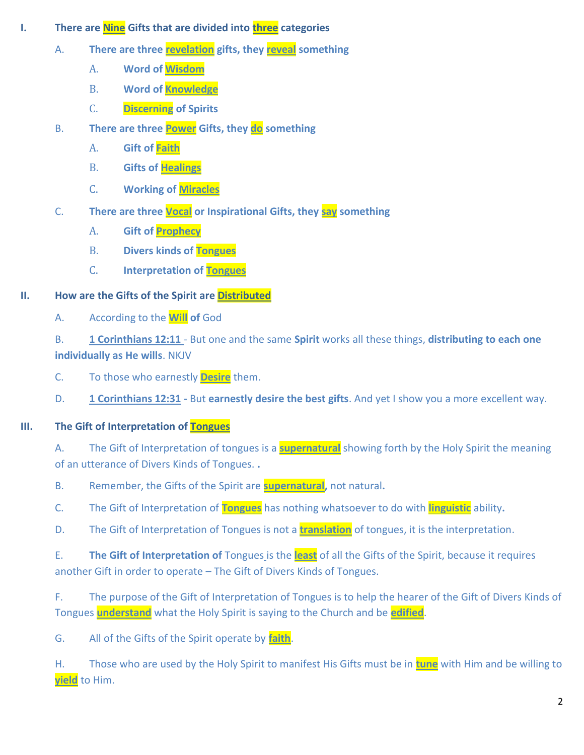- **I. There are Nine Gifts that are divided into three categories** 
	- A. **There are three revelation gifts, they reveal something**
		- A. **Word of Wisdom**
		- B. **Word of Knowledge**
		- C. **Discerning of Spirits**
	- B. **There are three Power Gifts, they do something** 
		- A. **Gift of Faith**
		- B. **Gifts of Healings**
		- C. **Working of Miracles**
	- C. **There are three Vocal or Inspirational Gifts, they say something**
		- A. **Gift of Prophecy**
		- B. **Divers kinds of Tongues**
		- C. **Interpretation of Tongues**

### **II. How are the Gifts of the Spirit are Distributed**

A. According to the **Will of** God

B. **1 Corinthians 12:11** - But one and the same **Spirit** works all these things, **distributing to each one individually as He wills**. NKJV

- C. To those who earnestly **Desire** them.
- D. **1 Corinthians 12:31 -** But **earnestly desire the best gifts**. And yet I show you a more excellent way.

## **III. The Gift of Interpretation of Tongues**

A. The Gift of Interpretation of tongues is a **supernatural** showing forth by the Holy Spirit the meaning of an utterance of Divers Kinds of Tongues. **.** 

- B. Remember, the Gifts of the Spirit are **supernatural,** not natural**.**
- C. The Gift of Interpretation of **Tongues** has nothing whatsoever to do with **linguistic** ability**.**
- D. The Gift of Interpretation of Tongues is not a **translation** of tongues, it is the interpretation.

E. **The Gift of Interpretation of** Tongues is the **least** of all the Gifts of the Spirit, because it requires another Gift in order to operate – The Gift of Divers Kinds of Tongues.

F. The purpose of the Gift of Interpretation of Tongues is to help the hearer of the Gift of Divers Kinds of Tongues **understand** what the Holy Spirit is saying to the Church and be **edified**.

G. All of the Gifts of the Spirit operate by **faith**.

H. Those who are used by the Holy Spirit to manifest His Gifts must be in **tune** with Him and be willing to **yield** to Him.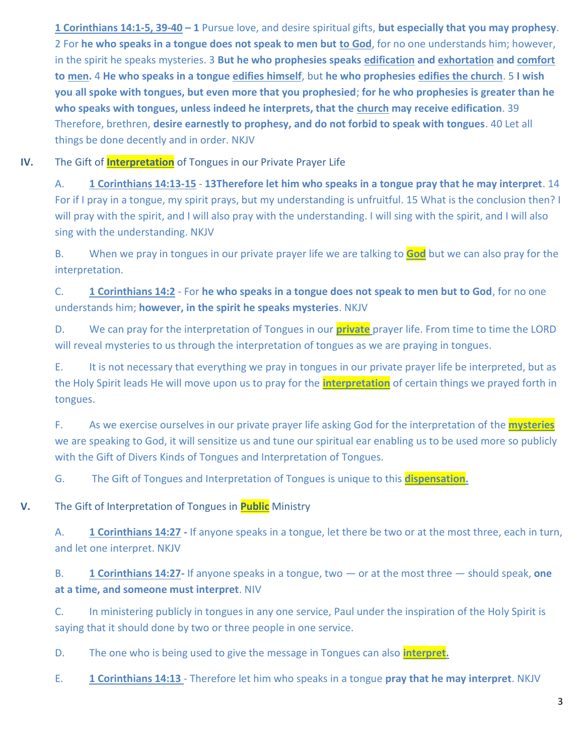**1 Corinthians 14:1-5, 39-40 – 1** Pursue love, and desire spiritual gifts, **but especially that you may prophesy**. 2 For **he who speaks in a tongue does not speak to men but to God**, for no one understands him; however, in the spirit he speaks mysteries. 3 **But he who prophesies speaks edification and exhortation and comfort to men.** 4 **He who speaks in a tongue edifies himself**, but **he who prophesies edifies the church**. 5 **I wish you all spoke with tongues, but even more that you prophesied**; **for he who prophesies is greater than he who speaks with tongues, unless indeed he interprets, that the church may receive edification**. 39 Therefore, brethren, **desire earnestly to prophesy, and do not forbid to speak with tongues**. 40 Let all things be done decently and in order. NKJV

**IV.** The Gift of **Interpretation** of Tongues in our Private Prayer Life

A. **1 Corinthians 14:13-15** - **13Therefore let him who speaks in a tongue pray that he may interpret**. 14 For if I pray in a tongue, my spirit prays, but my understanding is unfruitful. 15 What is the conclusion then? I will pray with the spirit, and I will also pray with the understanding. I will sing with the spirit, and I will also sing with the understanding. NKJV

B. When we pray in tongues in our private prayer life we are talking to **God** but we can also pray for the interpretation.

C. **1 Corinthians 14:2** - For **he who speaks in a tongue does not speak to men but to God**, for no one understands him; **however, in the spirit he speaks mysteries**. NKJV

D. We can pray for the interpretation of Tongues in our **private** prayer life. From time to time the LORD will reveal mysteries to us through the interpretation of tongues as we are praying in tongues.

E. It is not necessary that everything we pray in tongues in our private prayer life be interpreted, but as the Holy Spirit leads He will move upon us to pray for the **interpretation** of certain things we prayed forth in tongues.

F. As we exercise ourselves in our private prayer life asking God for the interpretation of the **mysteries** we are speaking to God, it will sensitize us and tune our spiritual ear enabling us to be used more so publicly with the Gift of Divers Kinds of Tongues and Interpretation of Tongues.

G. The Gift of Tongues and Interpretation of Tongues is unique to this **dispensation.** 

**V.** The Gift of Interpretation of Tongues in **Public** Ministry

A. **1 Corinthians 14:27 -** If anyone speaks in a tongue, let there be two or at the most three, each in turn, and let one interpret. NKJV

B. **1 Corinthians 14:27-** If anyone speaks in a tongue, two — or at the most three — should speak, **one at a time, and someone must interpret**. NIV

C. In ministering publicly in tongues in any one service, Paul under the inspiration of the Holy Spirit is saying that it should done by two or three people in one service.

D. The one who is being used to give the message in Tongues can also **interpret.** 

E. **1 Corinthians 14:13** - Therefore let him who speaks in a tongue **pray that he may interpret**. NKJV